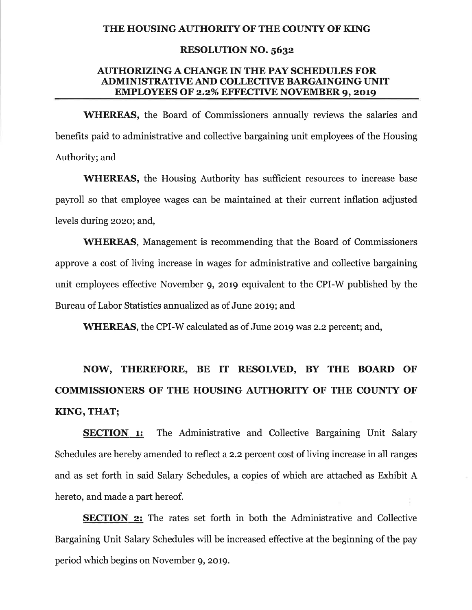#### THE HOUSING AUTHORITY OF THE COUNTY OF KING

### **RESOLUTION NO. 5632**

### **AUTHORIZING A CHANGE IN THE PAY SCHEDULES FOR ADMINISTRATIVE AND COLLECTIVE BARGAINGING UNIT EMPLOYEES OF 2.2% EFFECTIVE NOVEMBER 9, 2019**

**WHEREAS**, the Board of Commissioners annually reviews the salaries and benefits paid to administrative and collective bargaining unit employees of the Housing Authority; and

**WHEREAS**, the Housing Authority has sufficient resources to increase base payroll so that employee wages can be maintained at their current inflation adjusted levels during 2020; and,

**WHEREAS,** Management is recommending that the Board of Commissioners approve a cost of living increase in wages for administrative and collective bargaining unit employees effective November 9, 2019 equivalent to the CPI-W published by the Bureau of Labor Statistics annualized as of June 2019; and

**WHEREAS, the CPI-W calculated as of June 2019 was 2.2 percent; and,** 

# NOW, THEREFORE, BE IT RESOLVED, BY THE BOARD OF **COMMISSIONERS OF THE HOUSING AUTHORITY OF THE COUNTY OF** KING, THAT;

The Administrative and Collective Bargaining Unit Salary **SECTION 1:** Schedules are hereby amended to reflect a 2.2 percent cost of living increase in all ranges and as set forth in said Salary Schedules, a copies of which are attached as Exhibit A hereto, and made a part hereof.

**SECTION 2:** The rates set forth in both the Administrative and Collective Bargaining Unit Salary Schedules will be increased effective at the beginning of the pay period which begins on November 9, 2019.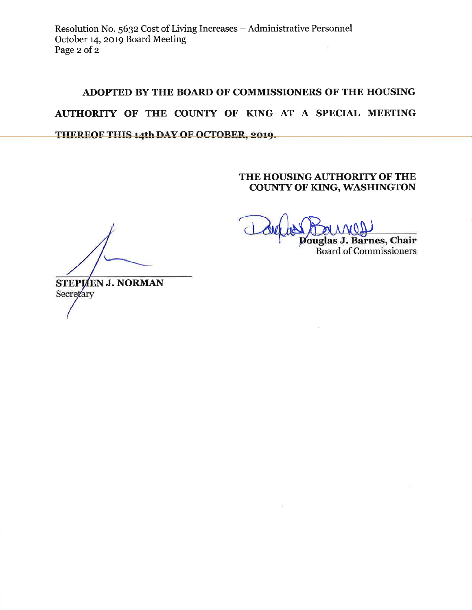# ADOPTED BY THE BOARD OF COMMISSIONERS OF THE HOUSING AUTHORITY OF THE COUNTY OF KING AT A SPECIAL MEETING THEREOF THIS 14th DAY OF OCTOBER, 2019.

### THE HOUSING AUTHORITY OF THE **COUNTY OF KING, WASHINGTON**

Douglas J. Barnes, Chair **Board of Commissioners** 

STEPHEN J. NORMAN Secretary